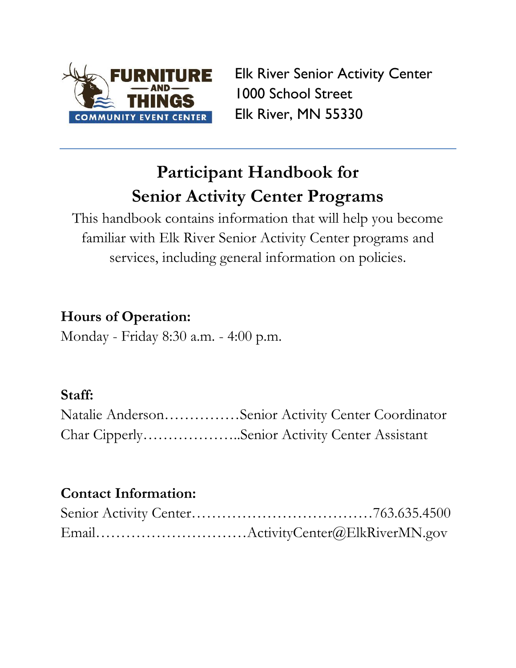

Elk River Senior Activity Center 1000 School Street Elk River, MN 55330

# **Participant Handbook for Senior Activity Center Programs**

This handbook contains information that will help you become familiar with Elk River Senior Activity Center programs and services, including general information on policies.

# **Hours of Operation:**

Monday - Friday 8:30 a.m. - 4:00 p.m.

# **Staff:**

| Natalie AndersonSenior Activity Center Coordinator |  |
|----------------------------------------------------|--|
| Char CipperlySenior Activity Center Assistant      |  |

# **Contact Information:**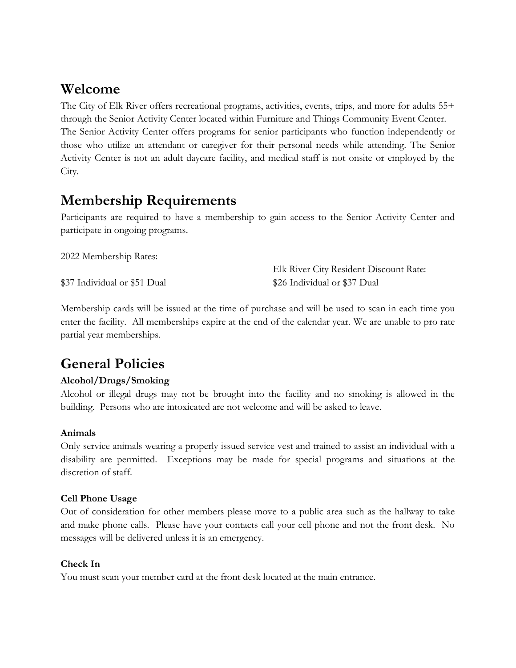### **Welcome**

The City of Elk River offers recreational programs, activities, events, trips, and more for adults 55+ through the Senior Activity Center located within Furniture and Things Community Event Center. The Senior Activity Center offers programs for senior participants who function independently or those who utilize an attendant or caregiver for their personal needs while attending. The Senior Activity Center is not an adult daycare facility, and medical staff is not onsite or employed by the City.

# **Membership Requirements**

Participants are required to have a membership to gain access to the Senior Activity Center and participate in ongoing programs.

| 2022 Membership Rates:       |                                        |
|------------------------------|----------------------------------------|
|                              | Elk River City Resident Discount Rate: |
| \$37 Individual or \$51 Dual | \$26 Individual or \$37 Dual           |

Membership cards will be issued at the time of purchase and will be used to scan in each time you enter the facility. All memberships expire at the end of the calendar year. We are unable to pro rate partial year memberships.

## **General Policies**

### **Alcohol/Drugs/Smoking**

Alcohol or illegal drugs may not be brought into the facility and no smoking is allowed in the building. Persons who are intoxicated are not welcome and will be asked to leave.

### **Animals**

Only service animals wearing a properly issued service vest and trained to assist an individual with a disability are permitted. Exceptions may be made for special programs and situations at the discretion of staff.

### **Cell Phone Usage**

Out of consideration for other members please move to a public area such as the hallway to take and make phone calls. Please have your contacts call your cell phone and not the front desk. No messages will be delivered unless it is an emergency.

### **Check In**

You must scan your member card at the front desk located at the main entrance.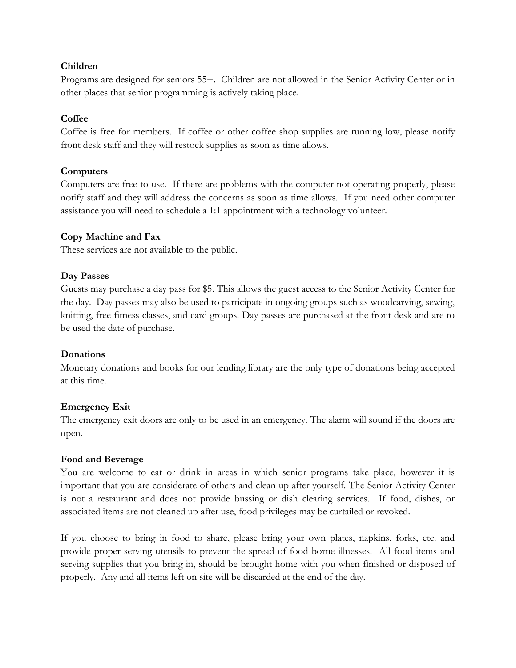#### **Children**

Programs are designed for seniors 55+. Children are not allowed in the Senior Activity Center or in other places that senior programming is actively taking place.

#### **Coffee**

Coffee is free for members. If coffee or other coffee shop supplies are running low, please notify front desk staff and they will restock supplies as soon as time allows.

#### **Computers**

Computers are free to use. If there are problems with the computer not operating properly, please notify staff and they will address the concerns as soon as time allows. If you need other computer assistance you will need to schedule a 1:1 appointment with a technology volunteer.

#### **Copy Machine and Fax**

These services are not available to the public.

#### **Day Passes**

Guests may purchase a day pass for \$5. This allows the guest access to the Senior Activity Center for the day. Day passes may also be used to participate in ongoing groups such as woodcarving, sewing, knitting, free fitness classes, and card groups. Day passes are purchased at the front desk and are to be used the date of purchase.

#### **Donations**

Monetary donations and books for our lending library are the only type of donations being accepted at this time.

#### **Emergency Exit**

The emergency exit doors are only to be used in an emergency. The alarm will sound if the doors are open.

#### **Food and Beverage**

You are welcome to eat or drink in areas in which senior programs take place, however it is important that you are considerate of others and clean up after yourself. The Senior Activity Center is not a restaurant and does not provide bussing or dish clearing services. If food, dishes, or associated items are not cleaned up after use, food privileges may be curtailed or revoked.

If you choose to bring in food to share, please bring your own plates, napkins, forks, etc. and provide proper serving utensils to prevent the spread of food borne illnesses. All food items and serving supplies that you bring in, should be brought home with you when finished or disposed of properly. Any and all items left on site will be discarded at the end of the day.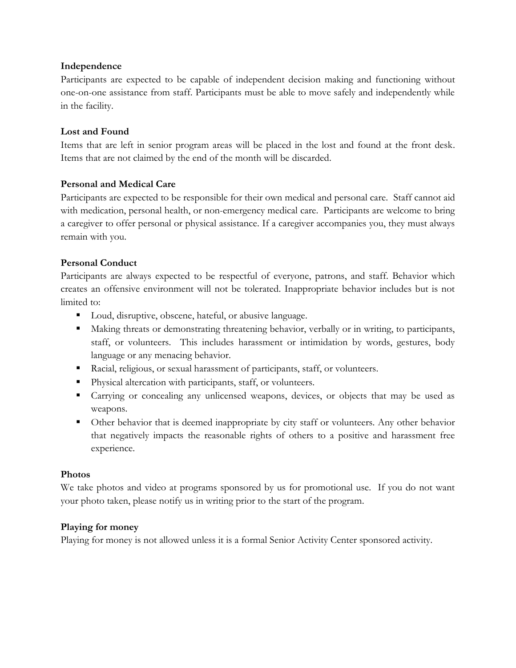#### **Independence**

Participants are expected to be capable of independent decision making and functioning without one-on-one assistance from staff. Participants must be able to move safely and independently while in the facility.

#### **Lost and Found**

Items that are left in senior program areas will be placed in the lost and found at the front desk. Items that are not claimed by the end of the month will be discarded.

#### **Personal and Medical Care**

Participants are expected to be responsible for their own medical and personal care. Staff cannot aid with medication, personal health, or non-emergency medical care. Participants are welcome to bring a caregiver to offer personal or physical assistance. If a caregiver accompanies you, they must always remain with you.

### **Personal Conduct**

Participants are always expected to be respectful of everyone, patrons, and staff. Behavior which creates an offensive environment will not be tolerated. Inappropriate behavior includes but is not limited to:

- Loud, disruptive, obscene, hateful, or abusive language.
- Making threats or demonstrating threatening behavior, verbally or in writing, to participants, staff, or volunteers. This includes harassment or intimidation by words, gestures, body language or any menacing behavior.
- Racial, religious, or sexual harassment of participants, staff, or volunteers.
- Physical altercation with participants, staff, or volunteers.
- Carrying or concealing any unlicensed weapons, devices, or objects that may be used as weapons.
- Other behavior that is deemed inappropriate by city staff or volunteers. Any other behavior that negatively impacts the reasonable rights of others to a positive and harassment free experience.

#### **Photos**

We take photos and video at programs sponsored by us for promotional use. If you do not want your photo taken, please notify us in writing prior to the start of the program.

#### **Playing for money**

Playing for money is not allowed unless it is a formal Senior Activity Center sponsored activity.